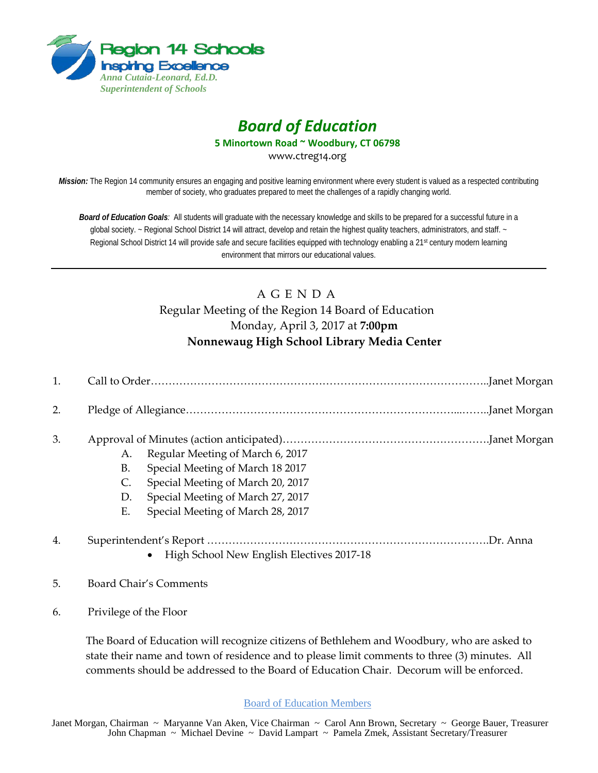

# *Board of Education*

**5 Minortown Road ~ Woodbury, CT 06798**

www.ctreg14.org

*Mission:* The Region 14 community ensures an engaging and positive learning environment where every student is valued as a respected contributing member of society, who graduates prepared to meet the challenges of a rapidly changing world.

*Board of Education Goals:* All students will graduate with the necessary knowledge and skills to be prepared for a successful future in a global society. ~ Regional School District 14 will attract, develop and retain the highest quality teachers, administrators, and staff. ~ Regional School District 14 will provide safe and secure facilities equipped with technology enabling a 21<sup>st</sup> century modern learning environment that mirrors our educational values.

## A G E N D A Regular Meeting of the Region 14 Board of Education Monday, April 3, 2017 at **7:00pm Nonnewaug High School Library Media Center**

| 2. |                      |                                                                                                                                                                                     |  |
|----|----------------------|-------------------------------------------------------------------------------------------------------------------------------------------------------------------------------------|--|
| 3. | А.<br>В.<br>D.<br>Е. | Regular Meeting of March 6, 2017<br>Special Meeting of March 18 2017<br>Special Meeting of March 20, 2017<br>Special Meeting of March 27, 2017<br>Special Meeting of March 28, 2017 |  |
| 4. |                      | High School New English Electives 2017-18                                                                                                                                           |  |

#### 5. Board Chair's Comments

6. Privilege of the Floor

The Board of Education will recognize citizens of Bethlehem and Woodbury, who are asked to state their name and town of residence and to please limit comments to three (3) minutes. All comments should be addressed to the Board of Education Chair. Decorum will be enforced.

#### Board of Education Members

Janet Morgan, Chairman ~ Maryanne Van Aken, Vice Chairman ~ Carol Ann Brown, Secretary ~ George Bauer, Treasurer John Chapman ~ Michael Devine ~ David Lampart ~ Pamela Zmek, Assistant Secretary/Treasurer